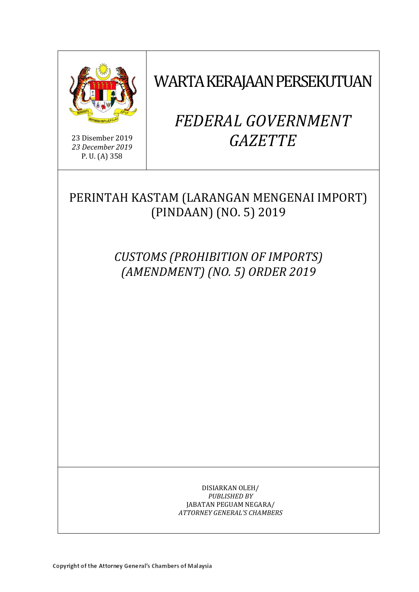

23 Disember 2019 *23 December 2019* P. U. (A) 358

WARTA KERAJAAN PERSEKUTUAN

# *FEDERAL GOVERNMENT GAZETTE*

# PERINTAH KASTAM (LARANGAN MENGENAI IMPORT) (PINDAAN) (NO. 5) 2019

*CUSTOMS (PROHIBITION OF IMPORTS) (AMENDMENT) (NO. 5) ORDER 2019*

> DISIARKAN OLEH/ *PUBLISHED BY* JABATAN PEGUAM NEGARA/ *ATTORNEY GENERAL'S CHAMBERS*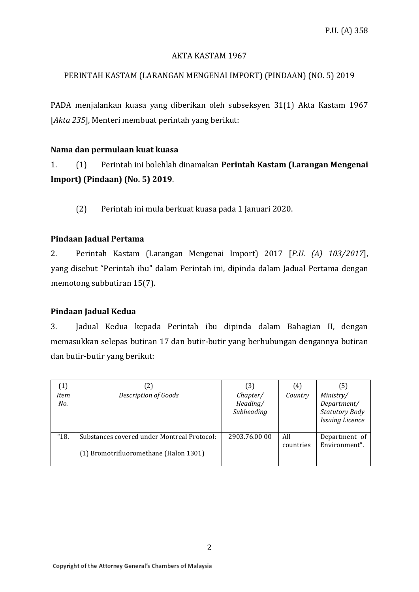#### AKTA KASTAM 1967

# PERINTAH KASTAM (LARANGAN MENGENAI IMPORT) (PINDAAN) (NO. 5) 2019

PADA menjalankan kuasa yang diberikan oleh subseksyen 31(1) Akta Kastam 1967 [*Akta 235*], Menteri membuat perintah yang berikut:

#### **Nama dan permulaan kuat kuasa**

1. (1) Perintah ini bolehlah dinamakan **Perintah Kastam (Larangan Mengenai Import) (Pindaan) (No. 5) 2019**.

(2) Perintah ini mula berkuat kuasa pada 1 Januari 2020.

## **Pindaan Jadual Pertama**

2. Perintah Kastam (Larangan Mengenai Import) 2017 [*P.U. (A) 103/2017*], yang disebut "Perintah ibu" dalam Perintah ini, dipinda dalam Jadual Pertama dengan memotong subbutiran 15(7).

#### **Pindaan Jadual Kedua**

3. Jadual Kedua kepada Perintah ibu dipinda dalam Bahagian II, dengan memasukkan selepas butiran 17 dan butir-butir yang berhubungan dengannya butiran dan butir-butir yang berikut:

| (1)<br>Item<br>No. | (2)<br>Description of Goods                                                           | (3)<br>Chapter/<br>Heading/<br>Subheading | (4)<br>Country   | (5)<br>Ministry/<br>Department/<br><b>Statutory Body</b><br><b>Issuing Licence</b> |
|--------------------|---------------------------------------------------------------------------------------|-------------------------------------------|------------------|------------------------------------------------------------------------------------|
| "18.               | Substances covered under Montreal Protocol:<br>(1) Bromotrifluoromethane (Halon 1301) | 2903.76.00 00                             | All<br>countries | Department of<br>Environment".                                                     |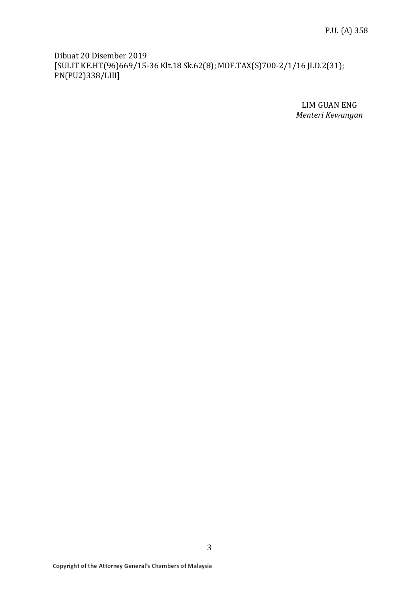Dibuat 20 Disember 2019 [SULIT KE.HT(96)669/15-36 Klt.18 Sk.62(8); MOF.TAX(S)700-2/1/16 JLD.2(31); PN(PU2)338/LIII]

> LIM GUAN ENG *Menteri Kewangan*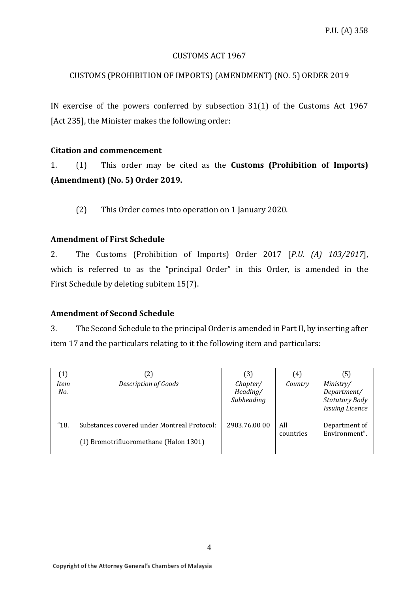#### CUSTOMS ACT 1967

## CUSTOMS (PROHIBITION OF IMPORTS) (AMENDMENT) (NO. 5) ORDER 2019

IN exercise of the powers conferred by subsection 31(1) of the Customs Act 1967 [Act 235], the Minister makes the following order:

#### **Citation and commencement**

1. (1) This order may be cited as the **Customs (Prohibition of Imports) (Amendment) (No. 5) Order 2019.** 

(2) This Order comes into operation on 1 January 2020.

#### **Amendment of First Schedule**

2. The Customs (Prohibition of Imports) Order 2017 [*P.U. (A) 103/2017*], which is referred to as the "principal Order" in this Order, is amended in the First Schedule by deleting subitem 15(7).

#### **Amendment of Second Schedule**

3. The Second Schedule to the principal Order is amended in Part II, by inserting after item 17 and the particulars relating to it the following item and particulars:

| $\left( 1\right)$<br><b>Item</b><br>No. | (2)<br><b>Description of Goods</b>                                                    | (3)<br>Chapter/<br>Heading/<br>Subheading | (4)<br>Country   | (5)<br>Ministry/<br>Department/<br><b>Statutory Body</b><br><b>Issuing Licence</b> |
|-----------------------------------------|---------------------------------------------------------------------------------------|-------------------------------------------|------------------|------------------------------------------------------------------------------------|
| "18.                                    | Substances covered under Montreal Protocol:<br>(1) Bromotrifluoromethane (Halon 1301) | 2903.76.00 00                             | All<br>countries | Department of<br>Environment".                                                     |